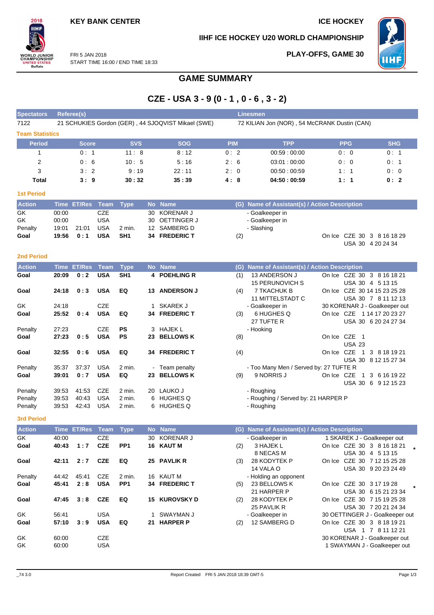$2018$ **IIHF** 

**WORLD JUNIOR<br>CHAMPIONSHIP<br>UNITED STATES<br>Buffalo** 

**PLAY-OFFS, GAME 30**

**IIHF ICE HOCKEY U20 WORLD CHAMPIONSHIP**



FRI 5 JAN 2018 START TIME 16:00 / END TIME 18:33

# **GAME SUMMARY**

# **CZE - USA 3 - 9 (0 - 1 , 0 - 6 , 3 - 2)**

| Spectators             |                                                    | Referee(s)         |             |                 |    |                  |            |     | <b>Linesmen</b>                               |               |                                                      |  |  |  |  |  |  |  |
|------------------------|----------------------------------------------------|--------------------|-------------|-----------------|----|------------------|------------|-----|-----------------------------------------------|---------------|------------------------------------------------------|--|--|--|--|--|--|--|
| 7122                   | 21 SCHUKIES Gordon (GER), 44 SJOQVIST Mikael (SWE) |                    |             |                 |    |                  |            |     | 72 KILIAN Jon (NOR), 54 McCRANK Dustin (CAN)  |               |                                                      |  |  |  |  |  |  |  |
| <b>Team Statistics</b> |                                                    |                    |             |                 |    |                  |            |     |                                               |               |                                                      |  |  |  |  |  |  |  |
| <b>Period</b>          |                                                    | <b>Score</b>       |             | <b>SVS</b>      |    | <b>SOG</b>       | <b>PIM</b> |     | <b>TPP</b>                                    | <b>PPG</b>    | <b>SHG</b>                                           |  |  |  |  |  |  |  |
| 1                      |                                                    | 0:1                |             | 11:8            |    | 8:12             | 0:2        |     | 00:59:00:00                                   | 0:0           | 0:1                                                  |  |  |  |  |  |  |  |
| $\overline{2}$         |                                                    | 0:6                |             | 10:5            |    | 5:16             | 2:6        |     | 03:01:00:00                                   | 0:0           | 0:1                                                  |  |  |  |  |  |  |  |
| 3                      |                                                    | 3:2                |             | 9:19            |    | 22:11            | 2:0        |     | 00:50:00:59                                   | 1:1           | 0:0                                                  |  |  |  |  |  |  |  |
| Total                  |                                                    | 3:9                |             | 30:32           |    | 35:39            | 4:8        |     | 04:50:00:59                                   | 1:1           | 0:2                                                  |  |  |  |  |  |  |  |
| <b>1st Period</b>      |                                                    |                    |             |                 |    |                  |            |     |                                               |               |                                                      |  |  |  |  |  |  |  |
| <b>Action</b>          |                                                    | Time ET/Res Team   |             | <b>Type</b>     |    | No Name          |            |     | (G) Name of Assistant(s) / Action Description |               |                                                      |  |  |  |  |  |  |  |
| GK                     | 00:00                                              |                    | CZE         |                 | 30 | <b>KORENAR J</b> |            |     | - Goalkeeper in                               |               |                                                      |  |  |  |  |  |  |  |
| GK                     | 00:00                                              |                    | <b>USA</b>  |                 | 30 | OETTINGER J      |            |     | - Goalkeeper in                               |               |                                                      |  |  |  |  |  |  |  |
| Penalty                | 19:01                                              | 21:01              | <b>USA</b>  | 2 min.          |    | 12 SAMBERG D     |            |     | - Slashing                                    |               |                                                      |  |  |  |  |  |  |  |
| Goal                   | 19:56                                              | 0:1                | <b>USA</b>  | SH <sub>1</sub> |    | 34 FREDERIC T    |            | (2) |                                               |               | On Ice CZE 30 3 8 16 18 29                           |  |  |  |  |  |  |  |
|                        |                                                    |                    |             |                 |    |                  |            |     |                                               |               | USA 30 4 20 24 34                                    |  |  |  |  |  |  |  |
| <b>2nd Period</b>      |                                                    |                    |             |                 |    |                  |            |     |                                               |               |                                                      |  |  |  |  |  |  |  |
| <b>Action</b>          |                                                    | <b>Time ET/Res</b> | <b>Team</b> | <b>Type</b>     |    | No Name          |            | (G) | Name of Assistant(s) / Action Description     |               |                                                      |  |  |  |  |  |  |  |
| Goal                   | 20:09                                              | 0:2                | <b>USA</b>  | SH <sub>1</sub> |    | 4 POEHLING R     |            | (1) | 13 ANDERSON J                                 |               | On Ice CZE 30 3 8 16 18 21                           |  |  |  |  |  |  |  |
|                        |                                                    |                    |             |                 |    |                  |            |     | 15 PERUNOVICH S                               |               | USA 30 4 5 13 15                                     |  |  |  |  |  |  |  |
| Goal                   | 24:18                                              | 0:3                | <b>USA</b>  | EQ              |    | 13 ANDERSON J    |            | (4) | 7 TKACHUK B                                   |               | On Ice CZE 30 14 15 23 25 28                         |  |  |  |  |  |  |  |
| GK                     | 24:18                                              |                    | CZE         |                 | 1  | <b>SKAREK J</b>  |            |     | 11 MITTELSTADT C<br>- Goalkeeper in           |               | USA 30 7 8 11 12 13<br>30 KORENAR J - Goalkeeper out |  |  |  |  |  |  |  |
| Goal                   | 25:52                                              | 0:4                | <b>USA</b>  | EQ              |    | 34 FREDERIC T    |            | (3) | 6 HUGHES Q                                    |               | On Ice CZE 1 14 17 20 23 27                          |  |  |  |  |  |  |  |
|                        |                                                    |                    |             |                 |    |                  |            |     | 27 TUFTE R                                    |               | USA 30 6 20 24 27 34                                 |  |  |  |  |  |  |  |
| Penalty                | 27:23                                              |                    | <b>CZE</b>  | PS              |    | 3 HAJEK L        |            |     | - Hooking                                     |               |                                                      |  |  |  |  |  |  |  |
| Goal                   | 27:23                                              | 0:5                | <b>USA</b>  | <b>PS</b>       | 23 | <b>BELLOWS K</b> |            | (8) |                                               | On Ice CZE 1  |                                                      |  |  |  |  |  |  |  |
|                        |                                                    |                    |             |                 |    |                  |            |     |                                               | <b>USA 23</b> |                                                      |  |  |  |  |  |  |  |
| Goal                   | 32:55                                              | 0:6                | <b>USA</b>  | EQ              |    | 34 FREDERIC T    |            | (4) |                                               | On Ice CZE    | 1 3 8 18 19 21                                       |  |  |  |  |  |  |  |
| Penalty                | 35:37                                              | 37:37              | <b>USA</b>  | 2 min.          |    | - Team penalty   |            |     | - Too Many Men / Served by: 27 TUFTE R        |               | USA 30 8 12 15 27 34                                 |  |  |  |  |  |  |  |
| Goal                   | 39:01                                              | 0:7                | <b>USA</b>  | EQ              | 23 | <b>BELLOWS K</b> |            | (9) | 9 NORRIS J                                    | On Ice CZE    | 1 3 6 16 19 22                                       |  |  |  |  |  |  |  |
|                        |                                                    |                    |             |                 |    |                  |            |     |                                               |               | USA 30 6 9 12 15 23                                  |  |  |  |  |  |  |  |
| Penalty                | 39:53                                              | 41:53              | <b>CZE</b>  | 2 min.          | 20 | LAUKO J          |            |     | - Roughing                                    |               |                                                      |  |  |  |  |  |  |  |
| Penalty                | 39:53                                              | 40:43              | <b>USA</b>  | 2 min.          | 6  | <b>HUGHES Q</b>  |            |     | - Roughing / Served by: 21 HARPER P           |               |                                                      |  |  |  |  |  |  |  |
| Penalty                | 39:53                                              | 42:43              | <b>USA</b>  | 2 min.          |    | 6 HUGHES Q       |            |     | - Roughing                                    |               |                                                      |  |  |  |  |  |  |  |
| <b>3rd Period</b>      |                                                    |                    |             |                 |    |                  |            |     |                                               |               |                                                      |  |  |  |  |  |  |  |
| <b>Action</b>          |                                                    | <b>Time ET/Res</b> | <b>Team</b> | <b>Type</b>     |    | No Name          |            |     | (G) Name of Assistant(s) / Action Description |               |                                                      |  |  |  |  |  |  |  |
| GK                     | 40:00                                              |                    | CZE         |                 | 30 | KORENAR J        |            |     | - Goalkeeper in                               |               | 1 SKAREK J - Goalkeeper out                          |  |  |  |  |  |  |  |
| Goal                   | 40:43                                              | 1:7                | <b>CZE</b>  | PP <sub>1</sub> |    | 16 KAUT M        |            | (2) | 3 HAJEK L                                     |               | On Ice CZE 30 3 8 16 18 21<br>$\star$                |  |  |  |  |  |  |  |
|                        |                                                    |                    |             |                 |    |                  |            |     | 8 NECAS M                                     |               | USA 30 4 5 13 15                                     |  |  |  |  |  |  |  |
| Goal                   | 42:11                                              | 2:7                | <b>CZE</b>  | EQ              |    | 25 PAVLIK R      |            | (3) | 28 KODYTEK P<br>14 VALA O                     |               | On Ice CZE 30 7 12 15 25 28<br>USA 30 9 20 23 24 49  |  |  |  |  |  |  |  |
| Penalty                | 44:42                                              | 45:41              | CZE         | 2 min.          |    | 16 KAUT M        |            |     | - Holding an opponent                         |               |                                                      |  |  |  |  |  |  |  |
| Goal                   | 45:41                                              | 2:8                | <b>USA</b>  | PP <sub>1</sub> |    | 34 FREDERIC T    |            | (5) | 23 BELLOWS K                                  |               | On Ice CZE 30 3 17 19 28                             |  |  |  |  |  |  |  |
|                        |                                                    |                    |             |                 |    |                  |            |     | 21 HARPER P                                   |               | USA 30 6 15 21 23 34                                 |  |  |  |  |  |  |  |
| Goal                   | 47:45                                              | 3:8                | <b>CZE</b>  | EQ              |    | 15 KUROVSKY D    |            | (2) | 28 KODYTEK P                                  |               | On Ice CZE 30 7 15 19 25 28                          |  |  |  |  |  |  |  |
|                        |                                                    |                    |             |                 |    |                  |            |     | 25 PAVLIK R                                   |               | USA 30 7 20 21 24 34                                 |  |  |  |  |  |  |  |
| GK                     | 56:41                                              |                    | <b>USA</b>  |                 | 1. | SWAYMAN J        |            |     | - Goalkeeper in                               |               | 30 OETTINGER J - Goalkeeper out                      |  |  |  |  |  |  |  |
| Goal                   | 57:10                                              | 3:9                | <b>USA</b>  | EQ              |    | 21 HARPER P      |            | (2) | 12 SAMBERG D                                  |               | On Ice CZE 30 3 8 18 19 21                           |  |  |  |  |  |  |  |
| GK                     | 60:00                                              |                    | CZE         |                 |    |                  |            |     |                                               |               | USA 1 7 8 11 12 21<br>30 KORENAR J - Goalkeeper out  |  |  |  |  |  |  |  |
| GK                     | 60:00                                              |                    | <b>USA</b>  |                 |    |                  |            |     |                                               |               | 1 SWAYMAN J - Goalkeeper out                         |  |  |  |  |  |  |  |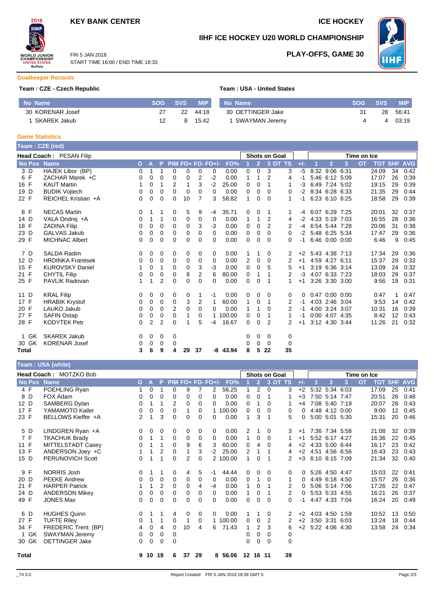

START TIME 16:00 / END TIME 18:33

FRI 5 JAN 2018



## **IIHF ICE HOCKEY U20 WORLD CHAMPIONSHIP**



**PLAY-OFFS, GAME 30**

#### **Goalkeeper Records**

### **Team : CZE - Czech Republic Team : USA - United States**

| No Name          | SOG SVS |    | <b>MIP</b> | No Name           | SOG | <b>SVS</b> | <b>MIP</b> |
|------------------|---------|----|------------|-------------------|-----|------------|------------|
| 30 KORENAR Josef | 27      | 22 | 44:18      | 30 OETTINGER Jake | 31  |            | 28 56:41   |
| 1 SKAREK Jakub   | 12      | 8  | 15:42      | 1 SWAYMAN Jeremy  |     |            | 4 03:19    |

### **Game Statistics**

|              | Team : CZE (red)        |                          |          |                |                |                |    |                |                   |          |              |                |                |                      |       |                     |                      |             |           |            |            |            |  |
|--------------|-------------------------|--------------------------|----------|----------------|----------------|----------------|----|----------------|-------------------|----------|--------------|----------------|----------------|----------------------|-------|---------------------|----------------------|-------------|-----------|------------|------------|------------|--|
|              | Head Coach: PESAN Filip |                          |          |                |                |                |    |                |                   |          |              |                |                | <b>Shots on Goal</b> |       |                     |                      | Time on Ice |           |            |            |            |  |
|              | <b>No Pos</b>           | <b>Name</b>              | G.       | A              | P              |                |    |                | PIM FO+ FO- FO+/- | FO%      |              | $\overline{2}$ |                | 3 OT TS              | $+/-$ |                     | $\overline{2}$       | 3           | <b>OT</b> | <b>TOT</b> | <b>SHF</b> | <b>AVG</b> |  |
|              | 3 D                     | <b>HAJEK Libor (BP)</b>  | 0        | 1              | 1              | $\Omega$       | 0  | 0              | 0                 | 0.00     | 0            | 0              | 3              | 3                    | -5    |                     | 8:32 9:06 6:31       |             |           | 24:09      | 34         | 0:42       |  |
|              | 6 F                     | ZACHAR Marek +C          | 0        | 0              | 0              | 0              | 0  | $\overline{2}$ | $-2$              | 0.00     | 1            | 1              | $\overline{2}$ | 4                    | -1    |                     | 5:46 6:12 5:09       |             |           | 17:07      | 26         | 0:39       |  |
| 16 F         |                         | <b>KAUT Martin</b>       |          | 0              | 1              | $\overline{2}$ | 1  | 3              | $-2$              | 25.00    | 0            | 0              | 1              | 1                    | $-3$  |                     | 6:49 7:24 5:02       |             |           | 19:15      | 29         | 0:39       |  |
| 19 D         |                         | <b>BUDIK Voitech</b>     | 0        | 0              | 0              | 0              | 0  | 0              | 0                 | 0.00     | 0            | 0              | 0              | 0                    | $-2$  | 8:34 6:28 6:33      |                      |             |           | 21:35      | 29         | 0:44       |  |
| 22 F         |                         | REICHEL Kristian +A      | $\Omega$ | 0              | $\Omega$       | 0              | 10 | $\overline{7}$ | 3                 | 58.82    | $\mathbf{1}$ | 0              | $\Omega$       | 1                    | $-1$  | 6:23 6:10 6:25      |                      |             |           | 18:58      | 29         | 0:39       |  |
|              | 8 F                     | <b>NECAS Martin</b>      | 0        | 1              | 1              | 0              | 5  | 9              | -4                | 35.71    | 0            | 0              | 1              | 1                    | -4    |                     | 6:07 6:29 7:25       |             |           | 20:01      | 32         | 0:37       |  |
| 14 D         |                         | VALA Ondrej +A           | 0        | 1              | 1              | 0              | 0  | 0              | 0                 | 0.00     | $\mathbf{1}$ | 1              | $\overline{2}$ | 4                    | $-2$  | 4:33 5:19 7:03      |                      |             |           | 16:55      | 28         | 0:36       |  |
| 18 F         |                         | <b>ZADINA Filip</b>      | 0        | 0              | 0              | 0              | 0  | 3              | $-3$              | 0.00     | 0            | 0              | $\overline{2}$ | 2                    | $-4$  |                     | 6:54 5:44 7:28       |             |           | 20:06      | 31         | 0:38       |  |
| 23 D         |                         | <b>GALVAS Jakub</b>      | 0        | 0              | $\Omega$       | $\Omega$       | 0  | $\Omega$       | $\Omega$          | 0.00     | 0            | 0              | $\Omega$       | $\Omega$             |       | $-2$ 5:48 6:25 5:34 |                      |             |           | 17:47      | 29         | 0:36       |  |
| 29 F         |                         | <b>MICHNAC Albert</b>    | 0        | 0              | 0              | 0              | 0  | 0              | 0                 | 0.00     | 0            | 0              | 0              | 0                    | $-1$  |                     | 6:46 0:00 0:00       |             |           | 6:46       | 9          | 0:45       |  |
|              | 7 D                     | <b>SALDA Radim</b>       | 0        | 0              | 0              | 0              | 0  | 0              | 0                 | 0.00     | 1            | 1              | 0              | 2                    | $+2$  | 5:43 4:38 7:13      |                      |             |           | 17:34      | 29         | 0:36       |  |
| 12 D         |                         | <b>HRDINKA Frantisek</b> | 0        | 0              | $\Omega$       | 0              | 0  | 0              | 0                 | 0.00     | 2            | 0              | $\Omega$       | 2                    | $+1$  |                     | 4:59 4:27 6:11       |             |           | 15:37      | 29         | 0:32       |  |
| 15 F         |                         | <b>KUROVSKY Daniel</b>   |          | 0              | 1              | $\Omega$       | 0  | 3              | $-3$              | 0.00     | 0            | 0              | 5              | 5                    | $+1$  |                     | 3:19 6:36 3:14       |             |           | 13:09      | 24         | 0:32       |  |
| 21 F         |                         | <b>CHYTIL Filip</b>      | 0        | 0              | 0              | 0              | 8  | 2              | 6                 | 80.00    | 0            | 1              | 1              | $\overline{2}$       | $-3$  |                     | 4:07 6:33 7:23       |             |           | 18:03      | 29         | 0:37       |  |
| 25 F         |                         | <b>PAVLIK Radovan</b>    | 1        | 1              | $\overline{2}$ | 0              | 0  | $\Omega$       | 0                 | 0.00     | 0            | $\mathbf 0$    | 1              |                      | $+1$  |                     | 3:26 3:30 3:00       |             |           | 9:56       | 19         | 0:31       |  |
| 11 D         |                         | <b>KRAL Filip</b>        | 0        | 0              | 0              | 0              | 0  | 1              | $-1$              | 0.00     | 0            | 0              | 0              | 0                    | 0     |                     | $0:47$ $0:00$ $0:00$ |             |           | 0:47       |            | 0:47       |  |
| 17 F         |                         | <b>HRABIK Krystof</b>    | 0        | 0              | 0              | 0              | 3  | $\overline{2}$ |                   | 60.00    | 1            | 0              | 1              | 2                    | $-1$  |                     | 4:03 2:46 3:04       |             |           | 9:53       | 14         | 0:42       |  |
| 20 F         |                         | LAUKO Jakub              | 0        | 0              | 0              | $\overline{2}$ | 0  | 0              | 0                 | 0.00     | 1            | 1              | $\Omega$       | $\overline{2}$       | -1    |                     | 4:00 3:24 3:07       |             |           | 10:31      | 16         | 0:39       |  |
| 27 F         |                         | <b>SAFIN Ostap</b>       | 0        | 0              | 0              | 0              | 1  | 0              |                   | 1 100.00 | 0            | $\mathbf 0$    | 1              | 1                    | -1    |                     | $0:00$ 4:07 4:35     |             |           | 8:42       | 12         | 0:43       |  |
| 28 F         |                         | <b>KODYTEK Petr</b>      | $\Omega$ | $\overline{2}$ | $\overline{2}$ | $\Omega$       |    | 5              | -4                | 16.67    | 0            | 0              | $\mathfrak{p}$ | 2                    | $+1$  |                     | 3:12 4:30 3:44       |             |           | 11:26      | 21         | 0:32       |  |
|              | 1 GK                    | <b>SKAREK Jakub</b>      | 0        | 0              | 0              | 0              |    |                |                   |          | 0            | 0              | $\Omega$       | 0                    |       |                     |                      |             |           |            |            |            |  |
|              | 30 GK                   | <b>KORENAR Josef</b>     | 0        | 0              | $\mathbf 0$    | 0              |    |                |                   |          | 0            | 0              | $\Omega$       | $\mathbf 0$          |       |                     |                      |             |           |            |            |            |  |
| <b>Total</b> |                         |                          | 3        | 6              | 9              | 4              | 29 | 37             | -8                | 43.94    | 8            | 5              | 22             | 35                   |       |                     |                      |             |           |            |            |            |  |

## **Team : USA (white)**

|       | Head Coach: MOTZKO Bob |                       |                |          |                |          |                |                   |          |          |              | <b>Shots on Goal</b> |                |                |       | Time on Ice    |                |      |           |                    |    |      |
|-------|------------------------|-----------------------|----------------|----------|----------------|----------|----------------|-------------------|----------|----------|--------------|----------------------|----------------|----------------|-------|----------------|----------------|------|-----------|--------------------|----|------|
|       |                        | No Pos Name           | G.             | A        | P.             |          |                | PIM FO+ FO- FO+/- |          | FO%      |              | $\overline{2}$       |                | 3 OT TS        | $+/-$ |                | $\overline{2}$ | 3    | <b>OT</b> | <b>TOT SHF AVG</b> |    |      |
|       | 4 F                    | POEHLING Ryan         |                | 0        |                | $\Omega$ | 9              |                   | 2        | 56.25    |              | 2                    | 0              | 3              | $+2$  |                | 5:32 5:34 6:03 |      |           | 17:09              | 25 | 0:41 |
|       | 8 D                    | FOX Adam              | 0              | $\Omega$ | 0              | $\Omega$ | $\Omega$       | $\Omega$          | $\Omega$ | 0.00     | 0            | $\Omega$             | 1              |                | $+3$  |                | 7:50 5:14 7:47 |      |           | 20:51              | 26 | 0:48 |
| 12 D  |                        | SAMBERG Dylan         | 0              |          | 1              | 2        | 0              | 0                 | $\Omega$ | 0.00     | 0            | 1                    | 0              |                | $+4$  |                | 7:08 5:40 7:19 |      |           | 20:07              | 28 | 0:43 |
| 17 F  |                        | YAMAMOTO Kailer       | 0              | 0        | 0              | $\Omega$ | 1              | 0                 |          | 1 100.00 | 0            | 0                    | 0              | 0              | 0     |                | 4:48 4:12 0:00 |      |           | 9:00               | 12 | 0:45 |
| 23 F  |                        | BELLOWS Kieffer +A    | $\overline{2}$ |          | 3              | 0        | 0              | $\Omega$          | 0        | 0.00     | 1            | 3                    | 1              | 5              | 0     |                | 5:00 5:01 5:30 |      |           | 15:31              | 20 | 0:46 |
|       |                        |                       |                |          |                |          |                |                   |          |          |              |                      |                |                |       |                |                |      |           |                    |    |      |
|       | 5 D                    | LINDGREN Ryan +A      | 0              | 0        | 0              | 0        | 0              | 0                 | 0        | 0.00     | 2            |                      | 0              | 3              | $+1$  |                | 7:36 7:34 5:58 |      |           | 21:08              | 32 | 0:39 |
|       | 7 F                    | <b>TKACHUK Brady</b>  | 0              | 1        | 1              | 0        | 0              | 0                 | 0        | 0.00     | 1            | 0                    | 0              |                | $+1$  |                | 5:52 6:17 4:27 |      |           | 16:36              | 22 | 0:45 |
| 11 F  |                        | MITTELSTADT Casey     | 0              | 1        | 1              | 0        | 9              | 6                 | 3        | 60.00    | 0            | 4                    | 0              | 4              | $+2$  |                | 4:33 5:00 6:44 |      |           | 16:17              | 23 | 0:42 |
| 13 F  |                        | ANDERSON Joey +C      |                |          | $\overline{2}$ | 0        | 1              | 3                 | $-2$     | 25.00    | 2            |                      |                | 4              | $+2$  |                | 4:51 4:56 6:56 |      |           | 16:43              | 23 | 0:43 |
| 15 D  |                        | PERUNOVICH Scott      | 0              |          | 1              | 0        | $\overline{2}$ | $\Omega$          |          | 2 100.00 | 1            | 0                    |                | 2              | $+3$  |                | 6:10 8:15 7:09 |      |           | 21:34              | 32 | 0:40 |
|       |                        |                       |                |          |                |          |                |                   |          |          |              |                      |                |                |       |                |                |      |           |                    |    |      |
|       | 9 F                    | NORRIS Josh           | 0              | 1        | 1              | 0        | 4              | 5                 | $-1$     | 44.44    | 0            | 0                    | 0              | 0              | 0     |                | 5:26 4:50 4:47 |      |           | 15:03              | 22 | 0:41 |
| 20 D  |                        | <b>PEEKE Andrew</b>   | 0              | 0        | 0              | 0        | 0              | $\Omega$          | 0        | 0.00     | 0            | 1                    | 0              |                | 0     |                | 4:49 6:18 4:50 |      |           | 15:57              | 26 | 0:36 |
| 21 F  |                        | <b>HARPER Patrick</b> |                |          | $\overline{2}$ | 0        | 0              | 4                 | $-4$     | 0.00     | 1            | 0                    | 1              | $\overline{2}$ | 0     |                | 5:06 5:14 7:06 |      |           | 17:26              | 22 | 0:47 |
| 24 D  |                        | <b>ANDERSON Mikey</b> | 0              | 0        | 0              | 0        | 0              | 0                 | 0        | 0.00     | $\mathbf{1}$ | 0                    | 1              | 2              | 0     |                | 5:53 5:33 4:55 |      |           | 16:21              | 26 | 0:37 |
| 49 F  |                        | <b>JONES Max</b>      | 0              | 0        | $\Omega$       | $\Omega$ | $\Omega$       | $\Omega$          | 0        | 0.00     | 0            | 0                    | $\Omega$       | 0              | -1    |                | 4:47 4:33 7:04 |      |           | 16:24              | 20 | 0:49 |
|       |                        |                       |                |          |                |          |                |                   |          |          |              |                      |                |                |       |                |                |      |           |                    |    |      |
|       | 6 D                    | <b>HUGHES Quinn</b>   | 0              | 1        | 1              | 4        | 0              | 0                 | $\Omega$ | 0.00     |              | 1                    | 0              | 2              | $+2$  |                | 4:03 4:50 1:59 |      |           | 10:52              | 13 | 0:50 |
| 27 F  |                        | <b>TUFTE Riley</b>    | 0              |          | 1              | 0        | 1              | 0                 |          | 1 100.00 | 0            | 0                    | $\overline{2}$ | 2              | $+2$  |                | 3:50 3:31      | 6:03 |           | 13:24              | 18 | 0:44 |
| 34 F  |                        | FREDERIC Trent (BP)   | 4              | 0        | 4              | $\Omega$ | 10             | 4                 | 6        | 71.43    | 1            | 2                    | 3              | 6              | $+2$  | 5:22 4:06 4:30 |                |      |           | 13:58              | 24 | 0:34 |
|       | 1 GK                   | <b>SWAYMAN Jeremy</b> | 0              | 0        | 0              | 0        |                |                   |          |          | 0            | 0                    | 0              | 0              |       |                |                |      |           |                    |    |      |
|       | 30 GK                  | <b>OETTINGER Jake</b> | 0              | 0        | 0              | 0        |                |                   |          |          | 0            | 0                    | 0              | 0              |       |                |                |      |           |                    |    |      |
|       |                        |                       |                |          |                |          |                |                   |          |          |              |                      |                |                |       |                |                |      |           |                    |    |      |
| Total |                        |                       | 9              | 10       | 19             | 6        | 37             | 29                | 8        | 56.06    |              | 12 16 11             |                | 39             |       |                |                |      |           |                    |    |      |
|       |                        |                       |                |          |                |          |                |                   |          |          |              |                      |                |                |       |                |                |      |           |                    |    |      |